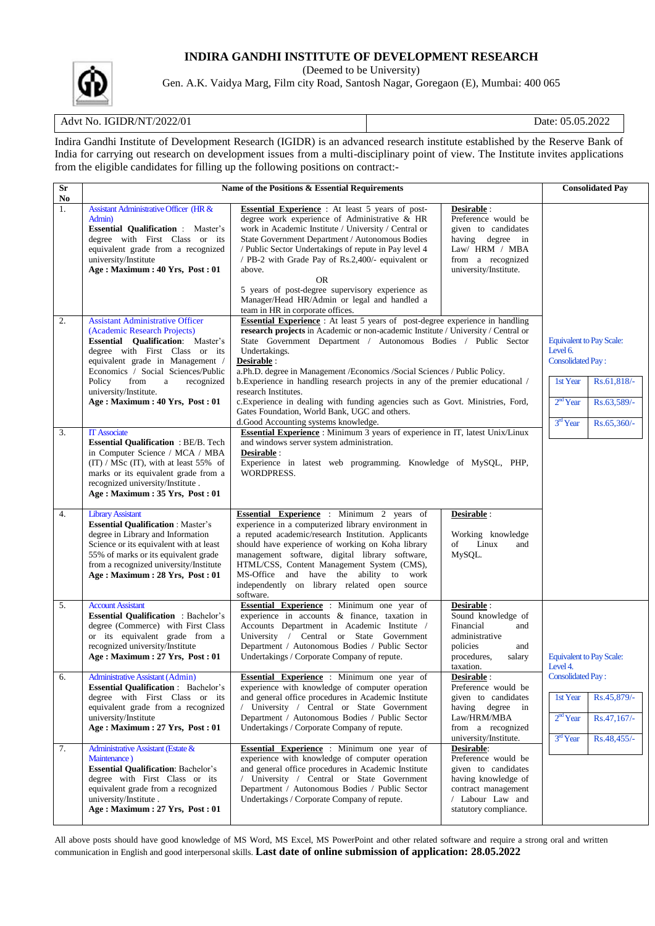# **INDIRA GANDHI INSTITUTE OF DEVELOPMENT RESEARCH**

(Deemed to be University)

Gen. A.K. Vaidya Marg, Film city Road, Santosh Nagar, Goregaon (E), Mumbai: 400 065

# Advt No. IGIDR/NT/2022/01 Date: 05.05.2022

Indira Gandhi Institute of Development Research (IGIDR) is an advanced research institute established by the Reserve Bank of India for carrying out research on development issues from a multi-disciplinary point of view. The Institute invites applications from the eligible candidates for filling up the following positions on contract:-

| Sr<br>N <sub>0</sub> | Name of the Positions & Essential Requirements                                                                                                                                                                                                                                                                                  |                                                                                                                                                                                                                                                                                                                                                                                                                                                                                                                                                                                                                                                 | <b>Consolidated Pay</b>                                                                                                                             |                                                                                                                                                              |
|----------------------|---------------------------------------------------------------------------------------------------------------------------------------------------------------------------------------------------------------------------------------------------------------------------------------------------------------------------------|-------------------------------------------------------------------------------------------------------------------------------------------------------------------------------------------------------------------------------------------------------------------------------------------------------------------------------------------------------------------------------------------------------------------------------------------------------------------------------------------------------------------------------------------------------------------------------------------------------------------------------------------------|-----------------------------------------------------------------------------------------------------------------------------------------------------|--------------------------------------------------------------------------------------------------------------------------------------------------------------|
| 1.                   | <b>Assistant Administrative Officer (HR &amp;</b><br>Admin)<br><b>Essential Qualification:</b> Master's<br>degree with First Class or its<br>equivalent grade from a recognized<br>university/Institute<br>Age: Maximum: 40 Yrs, Post: 01                                                                                       | <b>Essential Experience</b> : At least 5 years of post-<br>degree work experience of Administrative & HR<br>work in Academic Institute / University / Central or<br>State Government Department / Autonomous Bodies<br>/ Public Sector Undertakings of repute in Pay level 4<br>/ PB-2 with Grade Pay of Rs.2,400/- equivalent or<br>above.<br><b>OR</b><br>5 years of post-degree supervisory experience as<br>Manager/Head HR/Admin or legal and handled a<br>team in HR in corporate offices.                                                                                                                                                | Desirable :<br>Preference would be<br>given to candidates<br>having degree in<br>Law/ HRM / MBA<br>from a recognized<br>university/Institute.       |                                                                                                                                                              |
| 2.                   | <b>Assistant Administrative Officer</b><br>(Academic Research Projects)<br><b>Essential Qualification:</b> Master's<br>degree with First Class or its<br>equivalent grade in Management /<br>Economics / Social Sciences/Public<br>Policy<br>from<br>a<br>recognized<br>university/Institute.<br>Age: Maximum: 40 Yrs, Post: 01 | <b>Essential Experience</b> : At least 5 years of post-degree experience in handling<br>research projects in Academic or non-academic Institute / University / Central or<br>State Government Department / Autonomous Bodies / Public Sector<br>Undertakings.<br>Desirable :<br>a.Ph.D. degree in Management /Economics /Social Sciences / Public Policy.<br>b. Experience in handling research projects in any of the premier educational /<br>research Institutes.<br>c. Experience in dealing with funding agencies such as Govt. Ministries, Ford,<br>Gates Foundation, World Bank, UGC and others.<br>d.Good Accounting systems knowledge. |                                                                                                                                                     | <b>Equivalent to Pay Scale:</b><br>Level 6.<br><b>Consolidated Pay:</b><br>1st Year<br>Rs.61,818/-<br>$2nd$ Year<br>Rs.63,589/-<br>3rd Year<br>$Rs.65,360/-$ |
| 3.                   | <b>IT Associate</b><br><b>Essential Qualification : BE/B. Tech</b><br>in Computer Science / MCA / MBA<br>$(TT) / MSc(TT)$ , with at least 55% of<br>marks or its equivalent grade from a<br>recognized university/Institute.<br>Age : Maximum : 35 Yrs, Post : 01                                                               | Essential Experience : Minimum 3 years of experience in IT, latest Unix/Linux<br>and windows server system administration.<br>Desirable :<br>Experience in latest web programming. Knowledge of MySQL, PHP,<br>WORDPRESS.                                                                                                                                                                                                                                                                                                                                                                                                                       |                                                                                                                                                     |                                                                                                                                                              |
| 4.                   | <b>Library Assistant</b><br><b>Essential Qualification: Master's</b><br>degree in Library and Information<br>Science or its equivalent with at least<br>55% of marks or its equivalent grade<br>from a recognized university/Institute<br>Age: Maximum: 28 Yrs, Post: 01                                                        | Essential Experience : Minimum 2 years of<br>experience in a computerized library environment in<br>a reputed academic/research Institution. Applicants<br>should have experience of working on Koha library<br>management software, digital library software,<br>HTML/CSS, Content Management System (CMS),<br>MS-Office and have the ability to work<br>independently on library related open source<br>software.                                                                                                                                                                                                                             | Desirable :<br>Working knowledge<br>Linux<br>of<br>and<br>MySQL.                                                                                    |                                                                                                                                                              |
| 5.                   | <b>Account Assistant</b><br><b>Essential Qualification</b> : Bachelor's<br>degree (Commerce) with First Class<br>or its equivalent grade from a<br>recognized university/Institute<br>Age: Maximum: 27 Yrs, Post: 01                                                                                                            | Essential Experience : Minimum one year of<br>experience in accounts & finance, taxation in<br>Accounts Department in Academic Institute /<br>University / Central or State Government<br>Department / Autonomous Bodies / Public Sector<br>Undertakings / Corporate Company of repute.                                                                                                                                                                                                                                                                                                                                                         | Desirable :<br>Sound knowledge of<br>Financial<br>and<br>administrative<br>policies<br>and<br>procedures,<br>salary<br>taxation.                    | <b>Equivalent to Pay Scale:</b><br>Level 4.                                                                                                                  |
| 6.                   | <b>Administrative Assistant (Admin)</b><br><b>Essential Qualification</b> : Bachelor's<br>degree with First Class or its<br>equivalent grade from a recognized<br>university/Institute<br>Age : Maximum : 27 Yrs, Post : 01                                                                                                     | Essential Experience : Minimum one year of<br>experience with knowledge of computer operation<br>and general office procedures in Academic Institute<br>/ University / Central or State Government<br>Department / Autonomous Bodies / Public Sector<br>Undertakings / Corporate Company of repute.                                                                                                                                                                                                                                                                                                                                             | Desirable :<br>Preference would be<br>given to candidates<br>having degree in<br>Law/HRM/MBA<br>from a recognized<br>university/Institute.          | <b>Consolidated Pay:</b><br>Rs.45,879/-<br>1st Year<br>$2nd$ Year<br>Rs.47,167/-<br>$3rd$ Year<br>$Rs.48,455/-$                                              |
| 7.                   | Administrative Assistant (Estate &<br>Maintenance)<br><b>Essential Qualification: Bachelor's</b><br>degree with First Class or its<br>equivalent grade from a recognized<br>university/Institute.<br>Age : Maximum : $27$ Yrs, Post : 01                                                                                        | <b>Essential Experience</b> : Minimum one year of<br>experience with knowledge of computer operation<br>and general office procedures in Academic Institute<br>/ University / Central or State Government<br>Department / Autonomous Bodies / Public Sector<br>Undertakings / Corporate Company of repute.                                                                                                                                                                                                                                                                                                                                      | Desirable:<br>Preference would be<br>given to candidates<br>having knowledge of<br>contract management<br>/ Labour Law and<br>statutory compliance. |                                                                                                                                                              |

All above posts should have good knowledge of MS Word, MS Excel, MS PowerPoint and other related software and require a strong oral and written communication in English and good interpersonal skills. **Last date of online submission of application: 28.05.2022**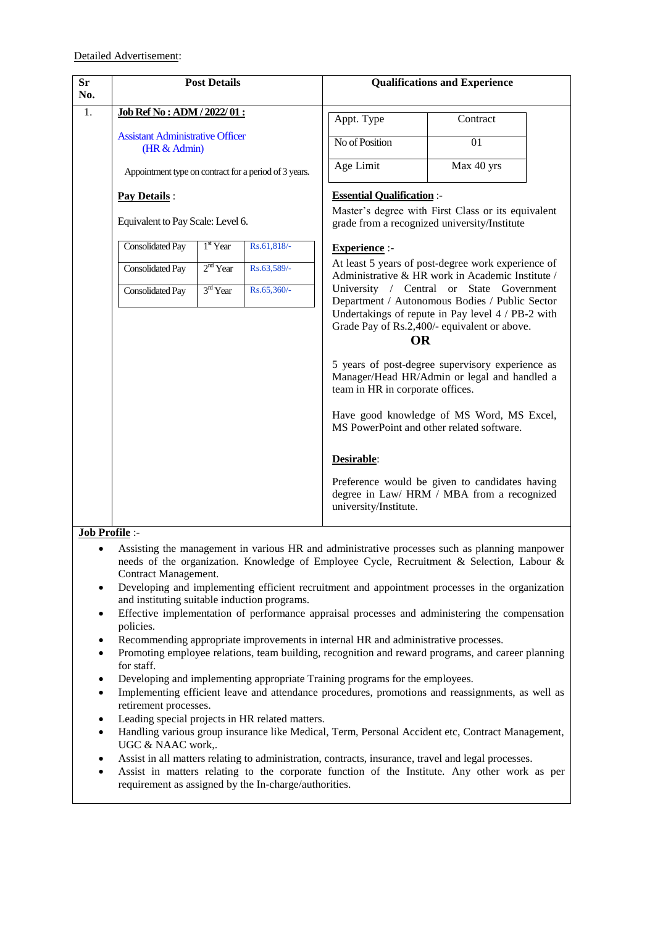| <b>Sr</b><br>No. | <b>Post Details</b>                                     |            |             |                                           | <b>Qualifications and Experience</b>                                                                                                                                                            |
|------------------|---------------------------------------------------------|------------|-------------|-------------------------------------------|-------------------------------------------------------------------------------------------------------------------------------------------------------------------------------------------------|
| 1.               | Job Ref No: ADM / 2022/01:                              |            | Appt. Type  | Contract                                  |                                                                                                                                                                                                 |
|                  | <b>Assistant Administrative Officer</b><br>(HR & Admin) |            |             | No of Position                            | 01                                                                                                                                                                                              |
|                  | Appointment type on contract for a period of 3 years.   |            |             | Age Limit                                 | Max 40 yrs                                                                                                                                                                                      |
|                  | Pay Details:                                            |            |             | <b>Essential Qualification:-</b>          |                                                                                                                                                                                                 |
|                  | Equivalent to Pay Scale: Level 6.                       |            |             |                                           | Master's degree with First Class or its equivalent<br>grade from a recognized university/Institute                                                                                              |
|                  | <b>Consolidated Pay</b>                                 | $1st$ Year | Rs.61,818/- | <b>Experience:-</b>                       |                                                                                                                                                                                                 |
|                  | <b>Consolidated Pay</b>                                 | $2nd$ Year | Rs.63,589/- |                                           | At least 5 years of post-degree work experience of<br>Administrative & HR work in Academic Institute /                                                                                          |
|                  | <b>Consolidated Pay</b>                                 | $3rd$ Year | Rs.65,360/- | <b>OR</b>                                 | University / Central or State Government<br>Department / Autonomous Bodies / Public Sector<br>Undertakings of repute in Pay level 4 / PB-2 with<br>Grade Pay of Rs.2,400/- equivalent or above. |
|                  |                                                         |            |             | team in HR in corporate offices.          | 5 years of post-degree supervisory experience as<br>Manager/Head HR/Admin or legal and handled a                                                                                                |
|                  |                                                         |            |             | MS PowerPoint and other related software. | Have good knowledge of MS Word, MS Excel,                                                                                                                                                       |
|                  |                                                         |            |             | Desirable:                                |                                                                                                                                                                                                 |
|                  |                                                         |            |             | university/Institute.                     | Preference would be given to candidates having<br>degree in Law/ HRM / MBA from a recognized                                                                                                    |

- Assisting the management in various HR and administrative processes such as planning manpower needs of the organization. Knowledge of Employee Cycle, Recruitment & Selection, Labour & Contract Management.
- Developing and implementing efficient recruitment and appointment processes in the organization and instituting suitable induction programs.
- Effective implementation of performance appraisal processes and administering the compensation policies.
- Recommending appropriate improvements in internal HR and administrative processes.
- Promoting employee relations, team building, recognition and reward programs, and career planning for staff.
- Developing and implementing appropriate Training programs for the employees.
- Implementing efficient leave and attendance procedures, promotions and reassignments, as well as retirement processes.
- Leading special projects in HR related matters.
- Handling various group insurance like Medical, Term, Personal Accident etc, Contract Management, UGC & NAAC work,.
- Assist in all matters relating to administration, contracts, insurance, travel and legal processes.
- Assist in matters relating to the corporate function of the Institute. Any other work as per requirement as assigned by the In-charge/authorities.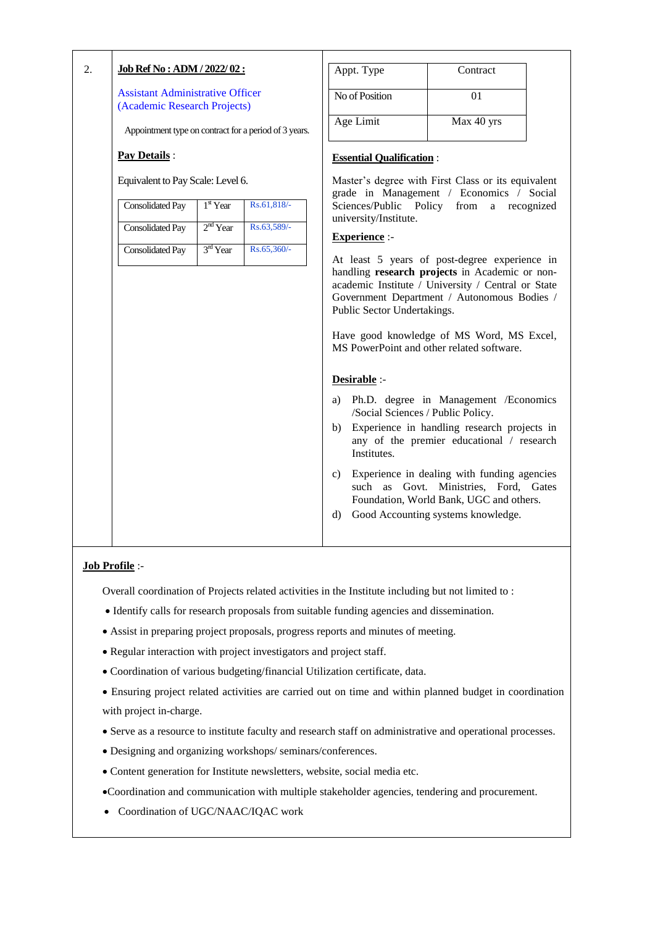| 2. | <u> Job Ref No : ADM / 2022/ 02 :</u>                                   |            |             |                                  | Appt. Type                                                       | Contract                                                                                                                                                                                                                                                                                                    |  |
|----|-------------------------------------------------------------------------|------------|-------------|----------------------------------|------------------------------------------------------------------|-------------------------------------------------------------------------------------------------------------------------------------------------------------------------------------------------------------------------------------------------------------------------------------------------------------|--|
|    | <b>Assistant Administrative Officer</b><br>(Academic Research Projects) |            |             |                                  | No of Position                                                   | 01                                                                                                                                                                                                                                                                                                          |  |
|    | Appointment type on contract for a period of 3 years.                   |            |             |                                  | Age Limit                                                        | Max 40 yrs                                                                                                                                                                                                                                                                                                  |  |
|    | <b>Pay Details:</b>                                                     |            |             |                                  | <b>Essential Qualification:</b>                                  |                                                                                                                                                                                                                                                                                                             |  |
|    | Equivalent to Pay Scale: Level 6.                                       |            |             |                                  |                                                                  | Master's degree with First Class or its equivalent<br>grade in Management / Economics / Social                                                                                                                                                                                                              |  |
|    | <b>Consolidated Pay</b>                                                 | $1st$ Year | Rs.61,818/- |                                  | Sciences/Public Policy from<br>university/Institute.             | a recognized                                                                                                                                                                                                                                                                                                |  |
|    | <b>Consolidated Pay</b>                                                 | $2nd$ Year | Rs.63,589/- |                                  | <b>Experience:-</b>                                              |                                                                                                                                                                                                                                                                                                             |  |
|    | <b>Consolidated Pay</b>                                                 | $3rd$ Year | Rs.65,360/- |                                  | Public Sector Undertakings.                                      | At least 5 years of post-degree experience in<br>handling research projects in Academic or non-<br>academic Institute / University / Central or State<br>Government Department / Autonomous Bodies /<br>Have good knowledge of MS Word, MS Excel,<br>MS PowerPoint and other related software.              |  |
|    |                                                                         |            |             | a)<br>b)<br>$\mathbf{c}$ )<br>d) | Desirable :-<br>/Social Sciences / Public Policy.<br>Institutes. | Ph.D. degree in Management / Economics<br>Experience in handling research projects in<br>any of the premier educational / research<br>Experience in dealing with funding agencies<br>such as Govt. Ministries, Ford, Gates<br>Foundation, World Bank, UGC and others.<br>Good Accounting systems knowledge. |  |

Overall coordination of Projects related activities in the Institute including but not limited to :

- Identify calls for research proposals from suitable funding agencies and dissemination.
- Assist in preparing project proposals, progress reports and minutes of meeting.
- Regular interaction with project investigators and project staff.
- Coordination of various budgeting/financial Utilization certificate, data.
- Ensuring project related activities are carried out on time and within planned budget in coordination with project in-charge.
- Serve as a resource to institute faculty and research staff on administrative and operational processes.
- Designing and organizing workshops/ seminars/conferences.
- Content generation for Institute newsletters, website, social media etc.

Coordination and communication with multiple stakeholder agencies, tendering and procurement.

Coordination of UGC/NAAC/IQAC work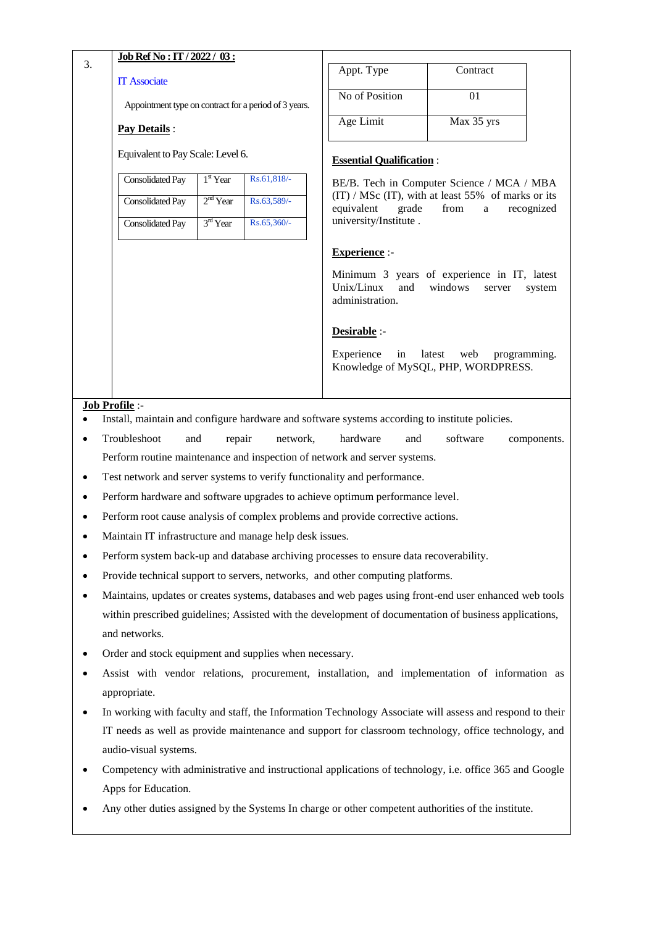| 3. | Job Ref No : IT / 2022 / 03 :                                                          |                      |             | Appt. Type                                                                                             | Contract                                                         |              |
|----|----------------------------------------------------------------------------------------|----------------------|-------------|--------------------------------------------------------------------------------------------------------|------------------------------------------------------------------|--------------|
|    | <b>IT Associate</b>                                                                    |                      |             |                                                                                                        |                                                                  |              |
|    | Appointment type on contract for a period of 3 years.                                  |                      |             | No of Position                                                                                         | 01                                                               |              |
|    | <b>Pay Details:</b>                                                                    |                      |             | Age Limit                                                                                              | Max 35 yrs                                                       |              |
|    | Equivalent to Pay Scale: Level 6.                                                      |                      |             | <b>Essential Qualification:</b>                                                                        |                                                                  |              |
|    | <b>Consolidated Pay</b>                                                                | $1st$ Year           | Rs.61,818/- |                                                                                                        | BE/B. Tech in Computer Science / MCA / MBA                       |              |
|    | <b>Consolidated Pay</b>                                                                | $2nd$ Year           | Rs.63,589/- |                                                                                                        | (IT) / MSc (IT), with at least 55% of marks or its               |              |
|    | <b>Consolidated Pay</b>                                                                | 3 <sup>rd</sup> Year | Rs.65,360/- | equivalent<br>grade<br>university/Institute.                                                           | from<br>a                                                        | recognized   |
|    |                                                                                        |                      |             | <b>Experience:-</b>                                                                                    |                                                                  |              |
|    |                                                                                        |                      |             | Unix/Linux<br>and<br>administration.                                                                   | Minimum 3 years of experience in IT, latest<br>windows<br>server | system       |
|    |                                                                                        |                      |             | Desirable :-                                                                                           |                                                                  |              |
|    |                                                                                        |                      |             | Experience<br>in                                                                                       | latest<br>web<br>Knowledge of MySQL, PHP, WORDPRESS.             | programming. |
|    | Job Profile :-                                                                         |                      |             | Install, maintain and configure hardware and software systems according to institute policies.         |                                                                  |              |
|    | Troubleshoot<br>and                                                                    | repair               | network,    | hardware<br>and                                                                                        | software                                                         | components.  |
|    |                                                                                        |                      |             | Perform routine maintenance and inspection of network and server systems.                              |                                                                  |              |
|    |                                                                                        |                      |             | Test network and server systems to verify functionality and performance.                               |                                                                  |              |
|    |                                                                                        |                      |             | Perform hardware and software upgrades to achieve optimum performance level.                           |                                                                  |              |
|    | Perform root cause analysis of complex problems and provide corrective actions.        |                      |             |                                                                                                        |                                                                  |              |
|    | Maintain IT infrastructure and manage help desk issues.                                |                      |             |                                                                                                        |                                                                  |              |
|    | Perform system back-up and database archiving processes to ensure data recoverability. |                      |             |                                                                                                        |                                                                  |              |
|    | Provide technical support to servers, networks, and other computing platforms.         |                      |             |                                                                                                        |                                                                  |              |
|    |                                                                                        |                      |             | Maintains, updates or creates systems, databases and web pages using front-end user enhanced web tools |                                                                  |              |
|    |                                                                                        |                      |             | within prescribed guidelines; Assisted with the development of documentation of business applications, |                                                                  |              |
|    | and networks.                                                                          |                      |             |                                                                                                        |                                                                  |              |

- Order and stock equipment and supplies when necessary.
- Assist with vendor relations, procurement, installation, and implementation of information as appropriate.
- In working with faculty and staff, the Information Technology Associate will assess and respond to their IT needs as well as provide maintenance and support for classroom technology, office technology, and audio-visual systems.
- Competency with administrative and instructional applications of technology, i.e. office 365 and Google Apps for Education.
- Any other duties assigned by the Systems In charge or other competent authorities of the institute.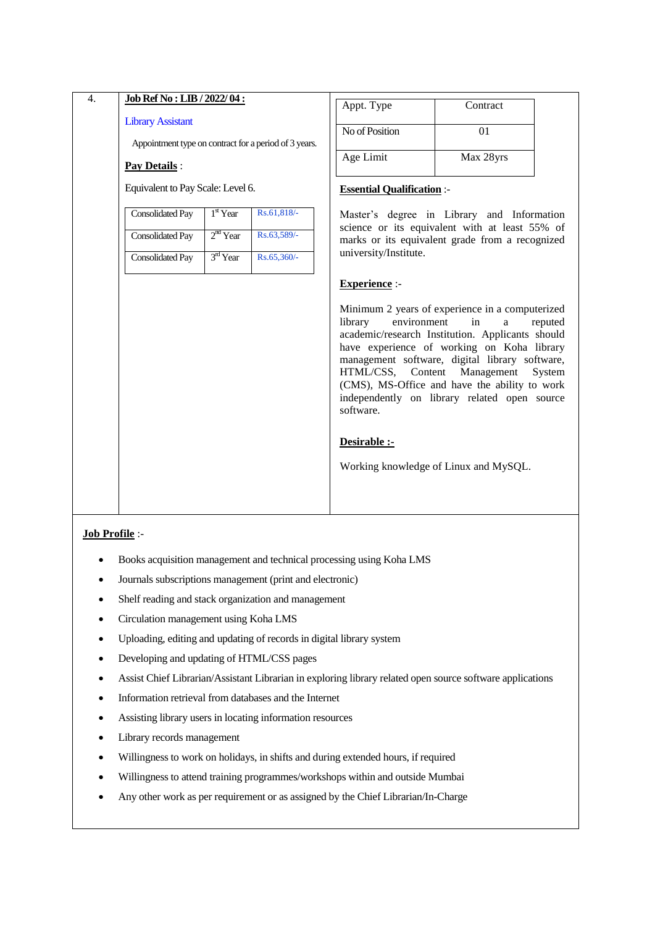| 4. | Job Ref No : LIB / 2022/04 :                                          |                      |             | Appt. Type                                               | Contract                                                                                                                                                                                                                                                                                                                      |                   |
|----|-----------------------------------------------------------------------|----------------------|-------------|----------------------------------------------------------|-------------------------------------------------------------------------------------------------------------------------------------------------------------------------------------------------------------------------------------------------------------------------------------------------------------------------------|-------------------|
|    | <b>Library Assistant</b>                                              |                      |             | No of Position                                           | 01                                                                                                                                                                                                                                                                                                                            |                   |
|    | Appointment type on contract for a period of 3 years.<br>Pay Details: |                      |             | Age Limit                                                | Max 28yrs                                                                                                                                                                                                                                                                                                                     |                   |
|    | Equivalent to Pay Scale: Level 6.                                     |                      |             | <b>Essential Qualification:-</b>                         |                                                                                                                                                                                                                                                                                                                               |                   |
|    | <b>Consolidated Pay</b>                                               | $1st$ Year           | Rs.61,818/- |                                                          | Master's degree in Library and Information                                                                                                                                                                                                                                                                                    |                   |
|    | <b>Consolidated Pay</b>                                               | 2 <sup>nd</sup> Year | Rs.63,589/- |                                                          | science or its equivalent with at least 55% of<br>marks or its equivalent grade from a recognized                                                                                                                                                                                                                             |                   |
|    | <b>Consolidated Pay</b>                                               | $3rd$ Year           | Rs.65,360/- | university/Institute.                                    |                                                                                                                                                                                                                                                                                                                               |                   |
|    |                                                                       |                      |             | <b>Experience:-</b>                                      |                                                                                                                                                                                                                                                                                                                               |                   |
|    |                                                                       |                      |             | environment<br>library<br>HTML/CSS, Content<br>software. | Minimum 2 years of experience in a computerized<br>in<br>a<br>academic/research Institution. Applicants should<br>have experience of working on Koha library<br>management software, digital library software,<br>Management<br>(CMS), MS-Office and have the ability to work<br>independently on library related open source | reputed<br>System |
|    |                                                                       |                      |             | Desirable :-                                             |                                                                                                                                                                                                                                                                                                                               |                   |
|    |                                                                       |                      |             |                                                          | Working knowledge of Linux and MySQL.                                                                                                                                                                                                                                                                                         |                   |
|    |                                                                       |                      |             |                                                          |                                                                                                                                                                                                                                                                                                                               |                   |

- Books acquisition management and technical processing using Koha LMS
- Journals subscriptions management (print and electronic)
- Shelf reading and stack organization and management
- Circulation management using Koha LMS
- Uploading, editing and updating of records in digital library system
- Developing and updating of HTML/CSS pages
- Assist Chief Librarian/Assistant Librarian in exploring library related open source software applications
- Information retrieval from databases and the Internet
- Assisting library users in locating information resources
- Library records management
- Willingness to work on holidays, in shifts and during extended hours, if required
- Willingness to attend training programmes/workshops within and outside Mumbai
- Any other work as per requirement or as assigned by the Chief Librarian/In-Charge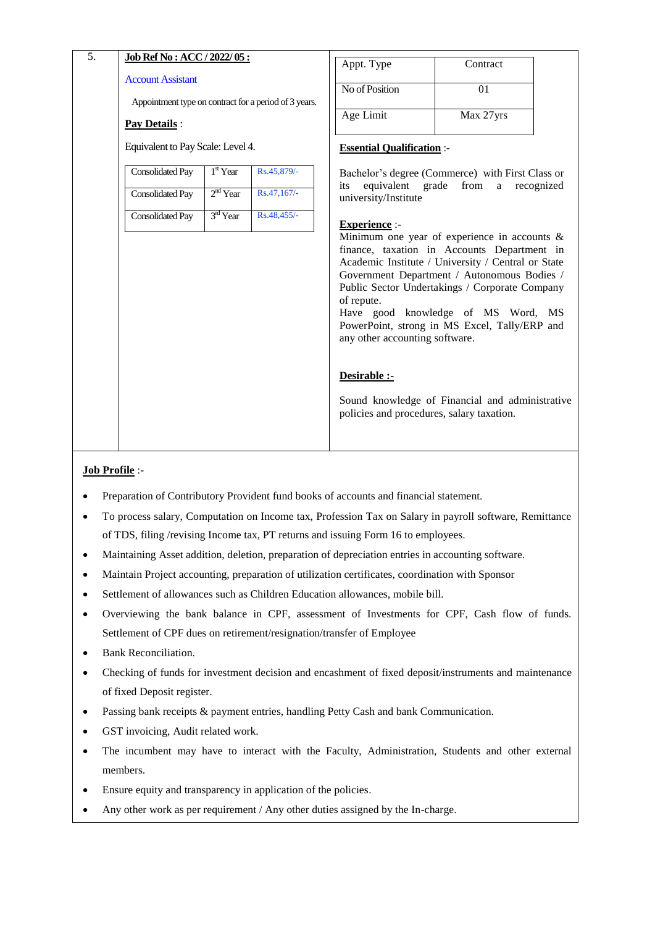| 5. | Job Ref No: ACC / 2022/05:                                                        |            |             | Appt. Type                                                                                                | Contract                                                                                                                                                                                                                                                                                                                                                                                        |
|----|-----------------------------------------------------------------------------------|------------|-------------|-----------------------------------------------------------------------------------------------------------|-------------------------------------------------------------------------------------------------------------------------------------------------------------------------------------------------------------------------------------------------------------------------------------------------------------------------------------------------------------------------------------------------|
|    | <b>Account Assistant</b><br>Appointment type on contract for a period of 3 years. |            |             | No of Position                                                                                            | 01                                                                                                                                                                                                                                                                                                                                                                                              |
|    | Pay Details :                                                                     |            |             | Age Limit                                                                                                 | Max 27yrs                                                                                                                                                                                                                                                                                                                                                                                       |
|    | Equivalent to Pay Scale: Level 4.                                                 |            |             | <b>Essential Qualification :-</b>                                                                         |                                                                                                                                                                                                                                                                                                                                                                                                 |
|    | <b>Consolidated Pay</b>                                                           | $1st$ Year | Rs.45,879/- |                                                                                                           | Bachelor's degree (Commerce) with First Class or<br>from                                                                                                                                                                                                                                                                                                                                        |
|    | <b>Consolidated Pay</b>                                                           | $2nd$ Year | Rs.47,167/- | equivalent grade<br>its<br>university/Institute                                                           | recognized<br>a a                                                                                                                                                                                                                                                                                                                                                                               |
|    | <b>Consolidated Pay</b>                                                           | $3rd$ Year | Rs.48,455/- | <b>Experience</b> :-                                                                                      |                                                                                                                                                                                                                                                                                                                                                                                                 |
|    |                                                                                   |            |             | of repute.<br>any other accounting software.<br>Desirable :-<br>policies and procedures, salary taxation. | Minimum one year of experience in accounts $\&$<br>finance, taxation in Accounts Department in<br>Academic Institute / University / Central or State<br>Government Department / Autonomous Bodies /<br>Public Sector Undertakings / Corporate Company<br>Have good knowledge of MS Word, MS<br>PowerPoint, strong in MS Excel, Tally/ERP and<br>Sound knowledge of Financial and administrative |

- Preparation of Contributory Provident fund books of accounts and financial statement.
- To process salary, Computation on Income tax, Profession Tax on Salary in payroll software, Remittance of TDS, filing /revising Income tax, PT returns and issuing Form 16 to employees.
- Maintaining Asset addition, deletion, preparation of depreciation entries in accounting software.
- Maintain Project accounting, preparation of utilization certificates, coordination with Sponsor
- Settlement of allowances such as Children Education allowances, mobile bill.
- Overviewing the bank balance in CPF, assessment of Investments for CPF, Cash flow of funds. Settlement of CPF dues on retirement/resignation/transfer of Employee
- Bank Reconciliation.
- Checking of funds for investment decision and encashment of fixed deposit/instruments and maintenance of fixed Deposit register.
- Passing bank receipts & payment entries, handling Petty Cash and bank Communication.
- GST invoicing, Audit related work.
- The incumbent may have to interact with the Faculty, Administration, Students and other external members.
- Ensure equity and transparency in application of the policies.
- Any other work as per requirement / Any other duties assigned by the In-charge.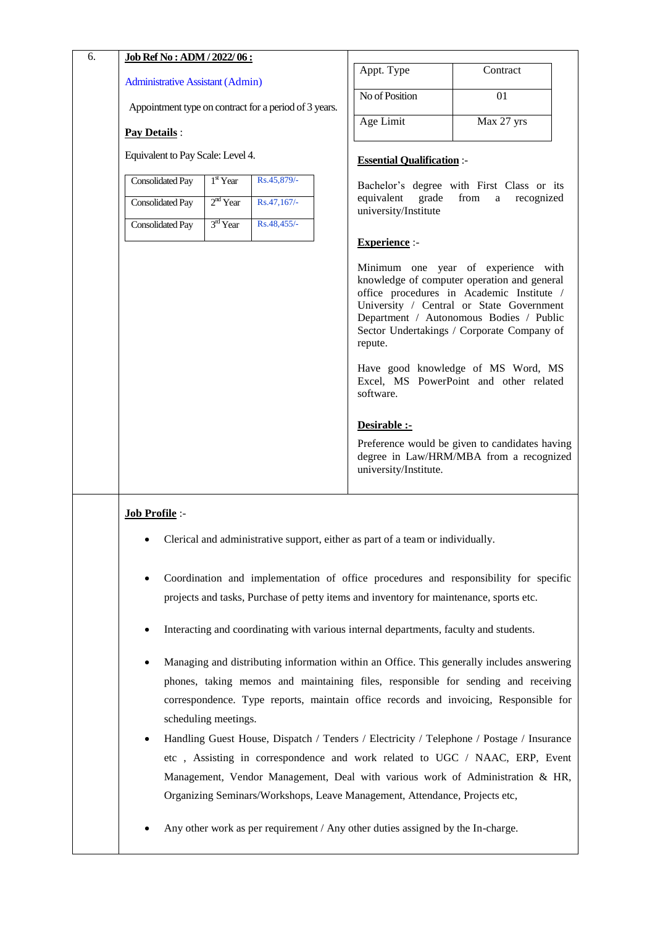| 6. | Job Ref No: ADM / 2022/06:                                                                                                                                                                                                                                                                                                                                                                                                                                                                                                                                              |                |                                             |                                                                                                                                                                                                                                                                      |  |  |
|----|-------------------------------------------------------------------------------------------------------------------------------------------------------------------------------------------------------------------------------------------------------------------------------------------------------------------------------------------------------------------------------------------------------------------------------------------------------------------------------------------------------------------------------------------------------------------------|----------------|---------------------------------------------|----------------------------------------------------------------------------------------------------------------------------------------------------------------------------------------------------------------------------------------------------------------------|--|--|
|    | <b>Administrative Assistant (Admin)</b>                                                                                                                                                                                                                                                                                                                                                                                                                                                                                                                                 |                | Appt. Type                                  | Contract                                                                                                                                                                                                                                                             |  |  |
|    | Appointment type on contract for a period of 3 years.                                                                                                                                                                                                                                                                                                                                                                                                                                                                                                                   | No of Position | 01                                          |                                                                                                                                                                                                                                                                      |  |  |
|    | <b>Pay Details:</b>                                                                                                                                                                                                                                                                                                                                                                                                                                                                                                                                                     |                | Age Limit                                   | Max 27 yrs                                                                                                                                                                                                                                                           |  |  |
|    | Equivalent to Pay Scale: Level 4.                                                                                                                                                                                                                                                                                                                                                                                                                                                                                                                                       |                | <b>Essential Qualification:-</b>            |                                                                                                                                                                                                                                                                      |  |  |
|    | <b>Consolidated Pay</b><br>$1st$ Year<br>Rs.45,879/-                                                                                                                                                                                                                                                                                                                                                                                                                                                                                                                    |                |                                             | Bachelor's degree with First Class or its                                                                                                                                                                                                                            |  |  |
|    | $2nd$ Year<br>Rs.47,167/-<br>Consolidated Pay                                                                                                                                                                                                                                                                                                                                                                                                                                                                                                                           |                | equivalent<br>grade<br>university/Institute | from<br>recognized<br>a                                                                                                                                                                                                                                              |  |  |
|    | 3rd Year<br>Rs.48,455/-<br><b>Consolidated Pay</b>                                                                                                                                                                                                                                                                                                                                                                                                                                                                                                                      |                |                                             |                                                                                                                                                                                                                                                                      |  |  |
|    |                                                                                                                                                                                                                                                                                                                                                                                                                                                                                                                                                                         |                | <b>Experience:-</b>                         |                                                                                                                                                                                                                                                                      |  |  |
|    |                                                                                                                                                                                                                                                                                                                                                                                                                                                                                                                                                                         |                | repute.                                     | Minimum one year of experience with<br>knowledge of computer operation and general<br>office procedures in Academic Institute /<br>University / Central or State Government<br>Department / Autonomous Bodies / Public<br>Sector Undertakings / Corporate Company of |  |  |
|    |                                                                                                                                                                                                                                                                                                                                                                                                                                                                                                                                                                         |                | software.                                   | Have good knowledge of MS Word, MS<br>Excel, MS PowerPoint and other related                                                                                                                                                                                         |  |  |
|    |                                                                                                                                                                                                                                                                                                                                                                                                                                                                                                                                                                         |                | Desirable :-                                |                                                                                                                                                                                                                                                                      |  |  |
|    |                                                                                                                                                                                                                                                                                                                                                                                                                                                                                                                                                                         |                | university/Institute.                       | Preference would be given to candidates having<br>degree in Law/HRM/MBA from a recognized                                                                                                                                                                            |  |  |
|    | Job Profile :-                                                                                                                                                                                                                                                                                                                                                                                                                                                                                                                                                          |                |                                             |                                                                                                                                                                                                                                                                      |  |  |
|    | • Clerical and administrative support, either as part of a team or individually.                                                                                                                                                                                                                                                                                                                                                                                                                                                                                        |                |                                             |                                                                                                                                                                                                                                                                      |  |  |
|    | Coordination and implementation of office procedures and responsibility for specific<br>projects and tasks, Purchase of petty items and inventory for maintenance, sports etc.                                                                                                                                                                                                                                                                                                                                                                                          |                |                                             |                                                                                                                                                                                                                                                                      |  |  |
|    | Interacting and coordinating with various internal departments, faculty and students.                                                                                                                                                                                                                                                                                                                                                                                                                                                                                   |                |                                             |                                                                                                                                                                                                                                                                      |  |  |
|    | Managing and distributing information within an Office. This generally includes answering<br>phones, taking memos and maintaining files, responsible for sending and receiving<br>correspondence. Type reports, maintain office records and invoicing, Responsible for<br>scheduling meetings.<br>Handling Guest House, Dispatch / Tenders / Electricity / Telephone / Postage / Insurance<br>$\bullet$<br>etc, Assisting in correspondence and work related to UGC / NAAC, ERP, Event<br>Management, Vendor Management, Deal with various work of Administration & HR, |                |                                             |                                                                                                                                                                                                                                                                      |  |  |
|    | Organizing Seminars/Workshops, Leave Management, Attendance, Projects etc,                                                                                                                                                                                                                                                                                                                                                                                                                                                                                              |                |                                             |                                                                                                                                                                                                                                                                      |  |  |
|    | Any other work as per requirement / Any other duties assigned by the In-charge.                                                                                                                                                                                                                                                                                                                                                                                                                                                                                         |                |                                             |                                                                                                                                                                                                                                                                      |  |  |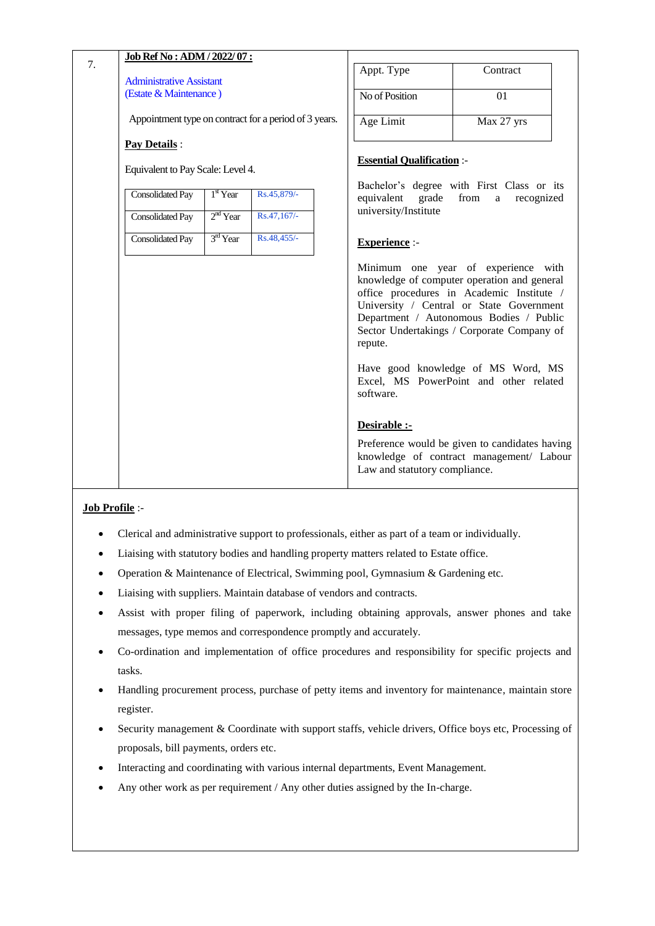|    | Job Ref No: ADM / 2022/07:                                |                      |                                                       |                                               |                                                                                                                                                                                                                                                                      |
|----|-----------------------------------------------------------|----------------------|-------------------------------------------------------|-----------------------------------------------|----------------------------------------------------------------------------------------------------------------------------------------------------------------------------------------------------------------------------------------------------------------------|
| 7. |                                                           |                      |                                                       | Appt. Type                                    | Contract                                                                                                                                                                                                                                                             |
|    | <b>Administrative Assistant</b><br>(Estate & Maintenance) |                      |                                                       |                                               |                                                                                                                                                                                                                                                                      |
|    |                                                           |                      |                                                       | No of Position                                | 01                                                                                                                                                                                                                                                                   |
|    |                                                           |                      | Appointment type on contract for a period of 3 years. | Age Limit                                     | Max 27 yrs                                                                                                                                                                                                                                                           |
|    | <b>Pay Details:</b>                                       |                      |                                                       |                                               |                                                                                                                                                                                                                                                                      |
|    | Equivalent to Pay Scale: Level 4.                         |                      |                                                       | <b>Essential Qualification:-</b>              |                                                                                                                                                                                                                                                                      |
|    | Consolidated Pay                                          | $1st$ Year           | Rs.45,879/-                                           | grade<br>equivalent                           | Bachelor's degree with First Class or its<br>from<br>recognized<br>a                                                                                                                                                                                                 |
|    | <b>Consolidated Pay</b>                                   | $2nd$ Year           | Rs.47,167/-                                           | university/Institute                          |                                                                                                                                                                                                                                                                      |
|    | <b>Consolidated Pay</b>                                   | 3 <sup>rd</sup> Year | Rs.48,455/-                                           | <b>Experience</b> :-                          |                                                                                                                                                                                                                                                                      |
|    |                                                           |                      |                                                       | repute.                                       | Minimum one year of experience with<br>knowledge of computer operation and general<br>office procedures in Academic Institute /<br>University / Central or State Government<br>Department / Autonomous Bodies / Public<br>Sector Undertakings / Corporate Company of |
|    |                                                           |                      |                                                       | software.                                     | Have good knowledge of MS Word, MS<br>Excel, MS PowerPoint and other related                                                                                                                                                                                         |
|    |                                                           |                      |                                                       | Desirable :-<br>Law and statutory compliance. | Preference would be given to candidates having<br>knowledge of contract management/ Labour                                                                                                                                                                           |

- Clerical and administrative support to professionals, either as part of a team or individually.
- Liaising with statutory bodies and handling property matters related to Estate office.
- Operation & Maintenance of Electrical, Swimming pool, Gymnasium & Gardening etc.
- Liaising with suppliers. Maintain database of vendors and contracts.
- Assist with proper filing of paperwork, including obtaining approvals, answer phones and take messages, type memos and correspondence promptly and accurately.
- Co-ordination and implementation of office procedures and responsibility for specific projects and tasks.
- Handling procurement process, purchase of petty items and inventory for maintenance, maintain store register.
- Security management & Coordinate with support staffs, vehicle drivers, Office boys etc, Processing of proposals, bill payments, orders etc.
- Interacting and coordinating with various internal departments, Event Management.
- Any other work as per requirement / Any other duties assigned by the In-charge.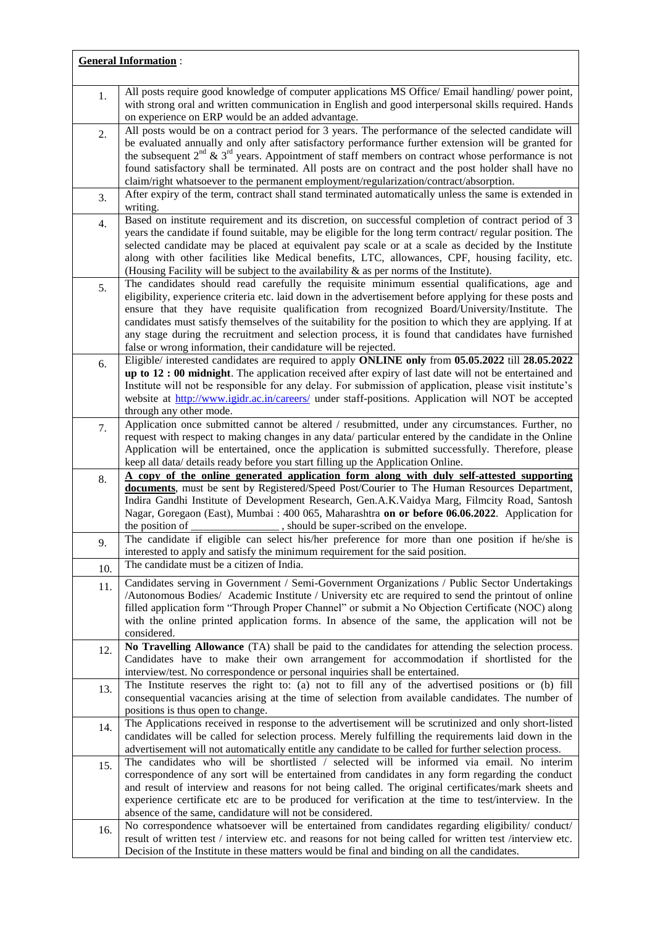|     | <b>General Information:</b>                                                                                                                                                                                  |
|-----|--------------------------------------------------------------------------------------------------------------------------------------------------------------------------------------------------------------|
|     |                                                                                                                                                                                                              |
| 1.  | All posts require good knowledge of computer applications MS Office/ Email handling/ power point,<br>with strong oral and written communication in English and good interpersonal skills required. Hands     |
|     | on experience on ERP would be an added advantage.                                                                                                                                                            |
| 2.  | All posts would be on a contract period for 3 years. The performance of the selected candidate will                                                                                                          |
|     | be evaluated annually and only after satisfactory performance further extension will be granted for                                                                                                          |
|     | the subsequent $2^{nd}$ & $3^{rd}$ years. Appointment of staff members on contract whose performance is not                                                                                                  |
|     | found satisfactory shall be terminated. All posts are on contract and the post holder shall have no                                                                                                          |
|     | claim/right whatsoever to the permanent employment/regularization/contract/absorption.                                                                                                                       |
| 3.  | After expiry of the term, contract shall stand terminated automatically unless the same is extended in<br>writing.                                                                                           |
|     | Based on institute requirement and its discretion, on successful completion of contract period of 3                                                                                                          |
| 4.  | years the candidate if found suitable, may be eligible for the long term contract/ regular position. The                                                                                                     |
|     | selected candidate may be placed at equivalent pay scale or at a scale as decided by the Institute                                                                                                           |
|     | along with other facilities like Medical benefits, LTC, allowances, CPF, housing facility, etc.                                                                                                              |
|     | (Housing Facility will be subject to the availability & as per norms of the Institute).                                                                                                                      |
| 5.  | The candidates should read carefully the requisite minimum essential qualifications, age and                                                                                                                 |
|     | eligibility, experience criteria etc. laid down in the advertisement before applying for these posts and                                                                                                     |
|     | ensure that they have requisite qualification from recognized Board/University/Institute. The<br>candidates must satisfy themselves of the suitability for the position to which they are applying. If at    |
|     | any stage during the recruitment and selection process, it is found that candidates have furnished                                                                                                           |
|     | false or wrong information, their candidature will be rejected.                                                                                                                                              |
| 6.  | Eligible/ interested candidates are required to apply ONLINE only from 05.05.2022 till 28.05.2022                                                                                                            |
|     | $up to 12: 00$ midnight. The application received after expiry of last date will not be entertained and                                                                                                      |
|     | Institute will not be responsible for any delay. For submission of application, please visit institute's                                                                                                     |
|     | website at http://www.igidr.ac.in/careers/ under staff-positions. Application will NOT be accepted                                                                                                           |
|     | through any other mode.<br>Application once submitted cannot be altered / resubmitted, under any circumstances. Further, no                                                                                  |
| 7.  | request with respect to making changes in any data/ particular entered by the candidate in the Online                                                                                                        |
|     | Application will be entertained, once the application is submitted successfully. Therefore, please                                                                                                           |
|     | keep all data/ details ready before you start filling up the Application Online.                                                                                                                             |
| 8.  | A copy of the online generated application form along with duly self-attested supporting                                                                                                                     |
|     | documents, must be sent by Registered/Speed Post/Courier to The Human Resources Department,                                                                                                                  |
|     | Indira Gandhi Institute of Development Research, Gen.A.K.Vaidya Marg, Filmcity Road, Santosh<br>Nagar, Goregaon (East), Mumbai : 400 065, Maharashtra on or before 06.06.2022. Application for               |
|     | the position of<br>, should be super-scribed on the envelope.                                                                                                                                                |
| 9.  | The candidate if eligible can select his/her preference for more than one position if he/she is                                                                                                              |
|     | interested to apply and satisfy the minimum requirement for the said position.                                                                                                                               |
| 10. | The candidate must be a citizen of India.                                                                                                                                                                    |
| 11. | Candidates serving in Government / Semi-Government Organizations / Public Sector Undertakings                                                                                                                |
|     | /Autonomous Bodies/ Academic Institute / University etc are required to send the printout of online                                                                                                          |
|     | filled application form "Through Proper Channel" or submit a No Objection Certificate (NOC) along                                                                                                            |
|     | with the online printed application forms. In absence of the same, the application will not be<br>considered.                                                                                                |
|     | No Travelling Allowance (TA) shall be paid to the candidates for attending the selection process.                                                                                                            |
| 12. | Candidates have to make their own arrangement for accommodation if shortlisted for the                                                                                                                       |
|     | interview/test. No correspondence or personal inquiries shall be entertained.                                                                                                                                |
| 13. | The Institute reserves the right to: (a) not to fill any of the advertised positions or (b) fill                                                                                                             |
|     | consequential vacancies arising at the time of selection from available candidates. The number of                                                                                                            |
|     | positions is thus open to change.                                                                                                                                                                            |
| 14. | The Applications received in response to the advertisement will be scrutinized and only short-listed<br>candidates will be called for selection process. Merely fulfilling the requirements laid down in the |
|     | advertisement will not automatically entitle any candidate to be called for further selection process.                                                                                                       |
| 15. | The candidates who will be shortlisted / selected will be informed via email. No interim                                                                                                                     |
|     | correspondence of any sort will be entertained from candidates in any form regarding the conduct                                                                                                             |
|     | and result of interview and reasons for not being called. The original certificates/mark sheets and                                                                                                          |
|     | experience certificate etc are to be produced for verification at the time to test/interview. In the                                                                                                         |
|     | absence of the same, candidature will not be considered.                                                                                                                                                     |
| 16. | No correspondence whatsoever will be entertained from candidates regarding eligibility/conduct/<br>result of written test / interview etc. and reasons for not being called for written test /interview etc. |
|     | Decision of the Institute in these matters would be final and binding on all the candidates.                                                                                                                 |

Ē